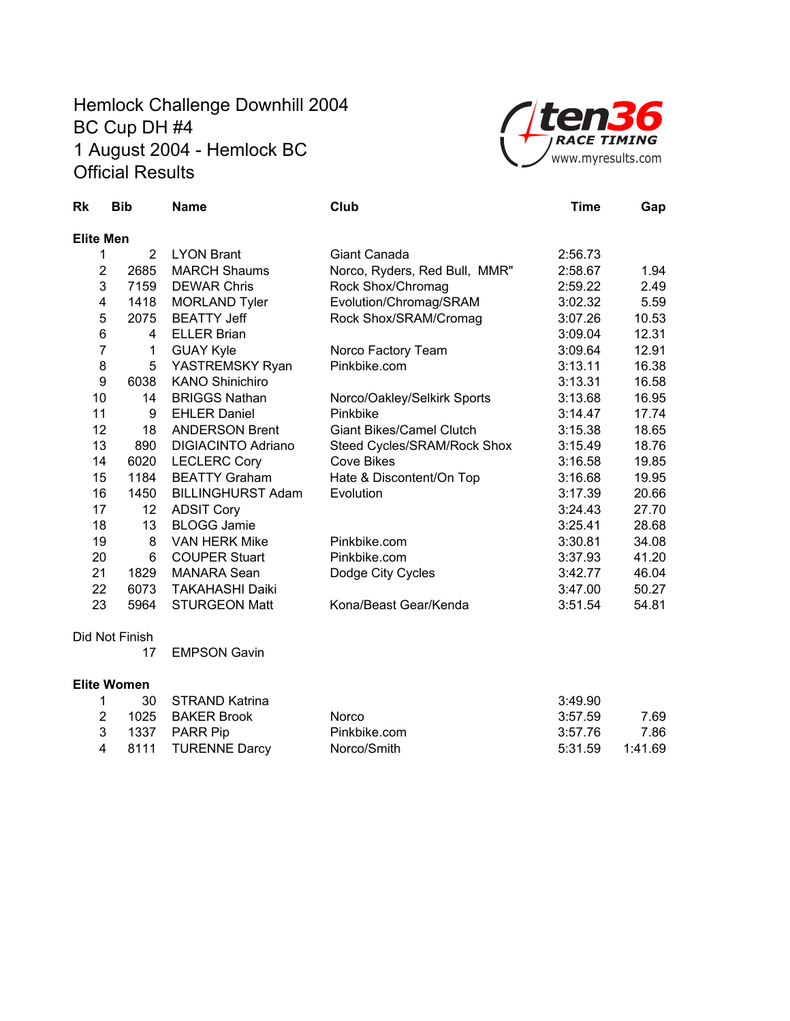## Hemlock Challenge Downhill 2004 BC Cup DH #4 1 August 2004 - Hemlock BC Official Results



| Rk               | <b>Bib</b>     | <b>Name</b>               | Club                            | <b>Time</b> | Gap   |
|------------------|----------------|---------------------------|---------------------------------|-------------|-------|
| <b>Elite Men</b> |                |                           |                                 |             |       |
| 1                | $\overline{2}$ | <b>LYON Brant</b>         | Giant Canada                    | 2:56.73     |       |
| $\overline{2}$   | 2685           | <b>MARCH Shaums</b>       | Norco, Ryders, Red Bull, MMR"   | 2:58.67     | 1.94  |
| 3                | 7159           | <b>DEWAR Chris</b>        | Rock Shox/Chromag               | 2:59.22     | 2.49  |
| 4                | 1418           | <b>MORLAND Tyler</b>      | Evolution/Chromag/SRAM          | 3:02.32     | 5.59  |
| 5                | 2075           | <b>BEATTY Jeff</b>        | Rock Shox/SRAM/Cromag           | 3:07.26     | 10.53 |
| 6                | 4              | <b>ELLER Brian</b>        |                                 | 3:09.04     | 12.31 |
| $\overline{7}$   | 1              | <b>GUAY Kyle</b>          | Norco Factory Team              | 3:09.64     | 12.91 |
| 8                | 5              | YASTREMSKY Ryan           | Pinkbike.com                    | 3:13.11     | 16.38 |
| 9                | 6038           | <b>KANO Shinichiro</b>    |                                 | 3:13.31     | 16.58 |
| 10               | 14             | <b>BRIGGS Nathan</b>      | Norco/Oakley/Selkirk Sports     | 3:13.68     | 16.95 |
| 11               | 9              | <b>EHLER Daniel</b>       | Pinkbike                        | 3:14.47     | 17.74 |
| 12               | 18             | <b>ANDERSON Brent</b>     | <b>Giant Bikes/Camel Clutch</b> | 3:15.38     | 18.65 |
| 13               | 890            | <b>DIGIACINTO Adriano</b> | Steed Cycles/SRAM/Rock Shox     | 3:15.49     | 18.76 |
| 14               | 6020           | <b>LECLERC Cory</b>       | <b>Cove Bikes</b>               | 3:16.58     | 19.85 |
| 15               | 1184           | <b>BEATTY Graham</b>      | Hate & Discontent/On Top        | 3:16.68     | 19.95 |
| 16               | 1450           | <b>BILLINGHURST Adam</b>  | Evolution                       | 3:17.39     | 20.66 |
| 17               | 12             | <b>ADSIT Cory</b>         |                                 | 3:24.43     | 27.70 |
| 18               | 13             | <b>BLOGG Jamie</b>        |                                 | 3:25.41     | 28.68 |
| 19               | 8              | <b>VAN HERK Mike</b>      | Pinkbike.com                    | 3:30.81     | 34.08 |
| 20               | 6              | <b>COUPER Stuart</b>      | Pinkbike.com                    | 3:37.93     | 41.20 |
| 21               | 1829           | <b>MANARA Sean</b>        | Dodge City Cycles               | 3:42.77     | 46.04 |
| 22               | 6073           | <b>TAKAHASHI Daiki</b>    |                                 | 3:47.00     | 50.27 |
| 23               | 5964           | <b>STURGEON Matt</b>      | Kona/Beast Gear/Kenda           | 3:51.54     | 54.81 |
|                  | Did Not Finish |                           |                                 |             |       |

17 EMPSON Gavin

## **Elite Women**

|  | 1 30 STRAND Katrina  |              | 3:49.90         |      |
|--|----------------------|--------------|-----------------|------|
|  | 2 1025 BAKER Brook   | <b>Norco</b> | 3:57.59         | 7.69 |
|  | 3 1337 PARR Pip      | Pinkbike.com | 3:57.76         | 7.86 |
|  | 4 8111 TURENNE Darcy | Norco/Smith  | 5:31.59 1:41.69 |      |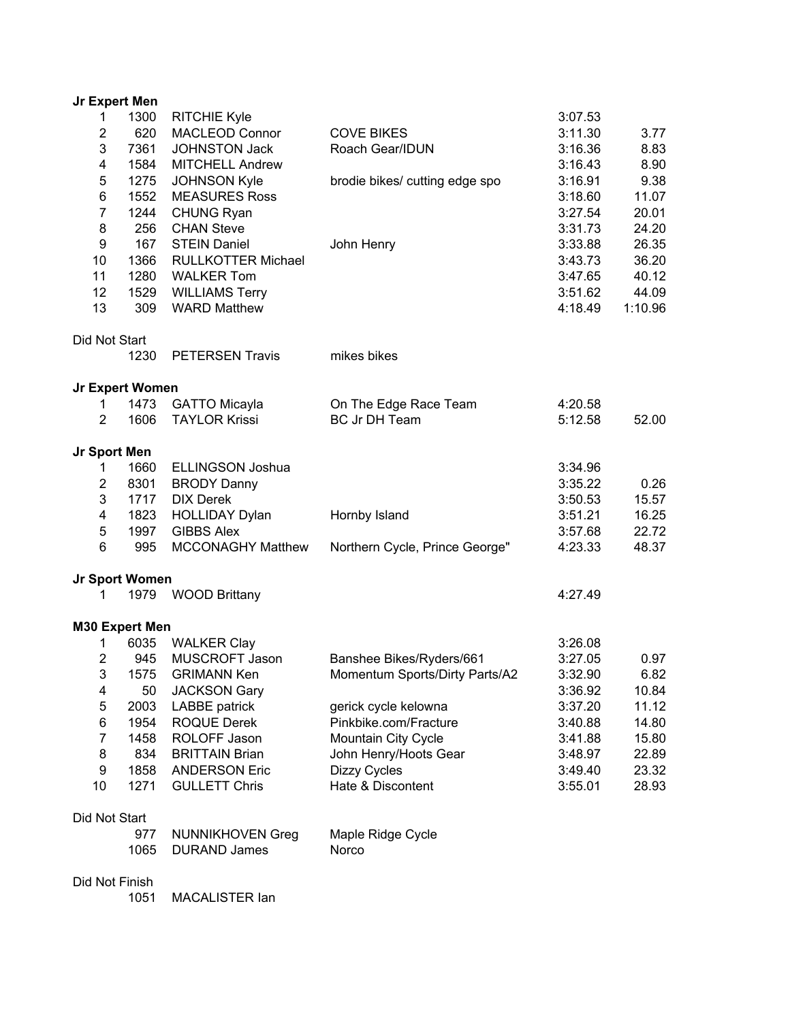| Jr Expert Men           |                 |                           |                                |         |         |
|-------------------------|-----------------|---------------------------|--------------------------------|---------|---------|
| 1                       | 1300            | <b>RITCHIE Kyle</b>       |                                | 3:07.53 |         |
| $\overline{\mathbf{c}}$ | 620             | <b>MACLEOD Connor</b>     | <b>COVE BIKES</b>              | 3:11.30 | 3.77    |
| 3                       | 7361            | <b>JOHNSTON Jack</b>      | Roach Gear/IDUN                | 3:16.36 | 8.83    |
| 4                       | 1584            | <b>MITCHELL Andrew</b>    |                                | 3:16.43 | 8.90    |
| 5                       | 1275            | <b>JOHNSON Kyle</b>       | brodie bikes/ cutting edge spo | 3:16.91 | 9.38    |
| 6                       | 1552            | <b>MEASURES Ross</b>      |                                | 3:18.60 | 11.07   |
| $\overline{7}$          | 1244            | <b>CHUNG Ryan</b>         |                                | 3:27.54 | 20.01   |
| 8                       | 256             | <b>CHAN Steve</b>         |                                | 3:31.73 | 24.20   |
| $\boldsymbol{9}$        | 167             | <b>STEIN Daniel</b>       | John Henry                     | 3:33.88 | 26.35   |
| 10                      | 1366            | <b>RULLKOTTER Michael</b> |                                | 3:43.73 | 36.20   |
| 11                      | 1280            | <b>WALKER Tom</b>         |                                | 3:47.65 | 40.12   |
| 12                      | 1529            | <b>WILLIAMS Terry</b>     |                                | 3:51.62 | 44.09   |
| 13                      | 309             | <b>WARD Matthew</b>       |                                | 4:18.49 | 1:10.96 |
| Did Not Start           |                 |                           |                                |         |         |
|                         | 1230            | <b>PETERSEN Travis</b>    | mikes bikes                    |         |         |
|                         | Jr Expert Women |                           |                                |         |         |
| 1                       | 1473            | <b>GATTO Micayla</b>      | On The Edge Race Team          | 4:20.58 |         |
| $\overline{2}$          | 1606            | <b>TAYLOR Krissi</b>      | <b>BC Jr DH Team</b>           | 5:12.58 | 52.00   |
| Jr Sport Men            |                 |                           |                                |         |         |
| 1                       | 1660            | <b>ELLINGSON Joshua</b>   |                                | 3:34.96 |         |
| $\overline{2}$          | 8301            | <b>BRODY Danny</b>        |                                | 3:35.22 | 0.26    |
| 3                       | 1717            | <b>DIX Derek</b>          |                                | 3:50.53 | 15.57   |
| 4                       | 1823            | <b>HOLLIDAY Dylan</b>     | Hornby Island                  | 3:51.21 | 16.25   |
| 5                       | 1997            | <b>GIBBS Alex</b>         |                                | 3:57.68 | 22.72   |
| 6                       | 995             | <b>MCCONAGHY Matthew</b>  | Northern Cycle, Prince George" | 4:23.33 | 48.37   |
|                         | Jr Sport Women  |                           |                                |         |         |
| 1                       | 1979            | <b>WOOD Brittany</b>      |                                | 4:27.49 |         |
|                         | M30 Expert Men  |                           |                                |         |         |
| 1                       | 6035            | <b>WALKER Clay</b>        |                                | 3:26.08 |         |
| $\overline{2}$          | 945             | MUSCROFT Jason            | Banshee Bikes/Ryders/661       | 3:27.05 | 0.97    |
| 3                       | 1575            | <b>GRIMANN Ken</b>        | Momentum Sports/Dirty Parts/A2 | 3:32.90 | 6.82    |
| 4                       | 50              | <b>JACKSON Gary</b>       |                                | 3:36.92 | 10.84   |
| 5                       | 2003            | LABBE patrick             | gerick cycle kelowna           | 3:37.20 | 11.12   |
| 6                       | 1954            | <b>ROQUE Derek</b>        | Pinkbike.com/Fracture          | 3:40.88 | 14.80   |
| $\overline{7}$          | 1458            | ROLOFF Jason              | Mountain City Cycle            | 3:41.88 | 15.80   |
| 8                       | 834             | <b>BRITTAIN Brian</b>     | John Henry/Hoots Gear          | 3:48.97 | 22.89   |
| 9                       | 1858            | <b>ANDERSON Eric</b>      | Dizzy Cycles                   | 3:49.40 | 23.32   |
| 10                      | 1271            | <b>GULLETT Chris</b>      | Hate & Discontent              | 3:55.01 | 28.93   |
| Did Not Start           |                 |                           |                                |         |         |
|                         | 977             | <b>NUNNIKHOVEN Greg</b>   | Maple Ridge Cycle              |         |         |
|                         | 1065            | <b>DURAND James</b>       | Norco                          |         |         |

Did Not Finish

1051 MACALISTER Ian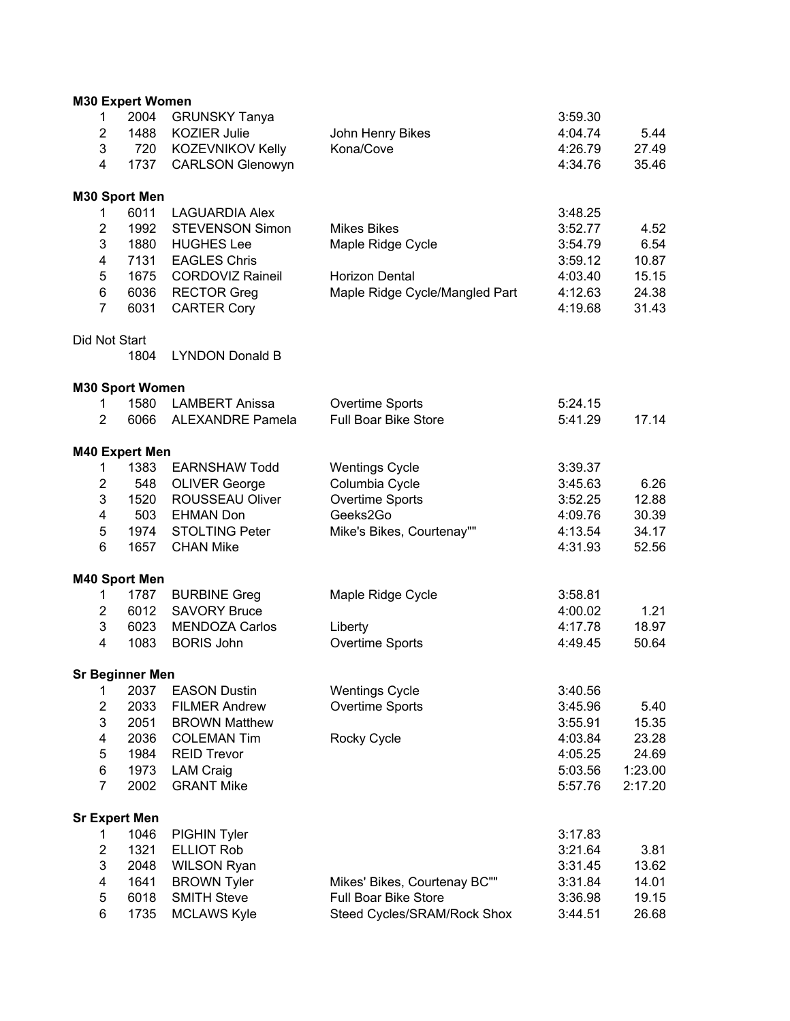|                         | <b>M30 Expert Women</b> |                         |                                |                    |         |
|-------------------------|-------------------------|-------------------------|--------------------------------|--------------------|---------|
| 1                       | 2004                    | <b>GRUNSKY Tanya</b>    |                                | 3:59.30            |         |
| $\overline{2}$          | 1488                    | <b>KOZIER Julie</b>     | John Henry Bikes               | 4:04.74            | 5.44    |
| 3                       | 720                     | KOZEVNIKOV Kelly        | Kona/Cove                      | 4:26.79            | 27.49   |
| $\overline{4}$          | 1737                    | <b>CARLSON Glenowyn</b> |                                | 4:34.76            | 35.46   |
|                         |                         |                         |                                |                    |         |
|                         | M30 Sport Men           |                         |                                |                    |         |
| 1                       | 6011                    | <b>LAGUARDIA Alex</b>   |                                | 3:48.25            |         |
| $\overline{2}$          | 1992                    | <b>STEVENSON Simon</b>  | <b>Mikes Bikes</b>             | 3:52.77            | 4.52    |
| 3                       | 1880                    | <b>HUGHES Lee</b>       | Maple Ridge Cycle              | 3:54.79            | 6.54    |
| 4                       | 7131                    | <b>EAGLES Chris</b>     |                                | 3:59.12            | 10.87   |
| 5                       | 1675                    | <b>CORDOVIZ Raineil</b> | <b>Horizon Dental</b>          | 4:03.40            | 15.15   |
| 6                       | 6036                    | <b>RECTOR Greg</b>      | Maple Ridge Cycle/Mangled Part | 4:12.63            | 24.38   |
| $\overline{7}$          | 6031                    | <b>CARTER Cory</b>      |                                | 4:19.68            | 31.43   |
|                         |                         |                         |                                |                    |         |
| Did Not Start           | 1804                    | <b>LYNDON Donald B</b>  |                                |                    |         |
|                         |                         |                         |                                |                    |         |
|                         | <b>M30 Sport Women</b>  |                         |                                |                    |         |
| $\mathbf{1}$            | 1580                    | <b>LAMBERT Anissa</b>   | Overtime Sports                | 5:24.15            |         |
| $\overline{2}$          | 6066                    | <b>ALEXANDRE Pamela</b> | <b>Full Boar Bike Store</b>    | 5:41.29            | 17.14   |
|                         | M40 Expert Men          |                         |                                |                    |         |
| 1                       | 1383                    | <b>EARNSHAW Todd</b>    | <b>Wentings Cycle</b>          | 3:39.37            |         |
| $\overline{2}$          | 548                     | <b>OLIVER George</b>    | Columbia Cycle                 | 3:45.63            | 6.26    |
| 3                       | 1520                    | ROUSSEAU Oliver         | Overtime Sports                | 3:52.25            | 12.88   |
| 4                       | 503                     | <b>EHMAN Don</b>        | Geeks2Go                       | 4:09.76            | 30.39   |
| 5                       | 1974                    | <b>STOLTING Peter</b>   |                                |                    | 34.17   |
| 6                       | 1657                    | <b>CHAN Mike</b>        | Mike's Bikes, Courtenay""      | 4:13.54<br>4:31.93 | 52.56   |
|                         |                         |                         |                                |                    |         |
|                         | M40 Sport Men           |                         |                                |                    |         |
| 1                       | 1787                    | <b>BURBINE Greg</b>     | Maple Ridge Cycle              | 3:58.81            |         |
| $\overline{\mathbf{c}}$ | 6012                    | <b>SAVORY Bruce</b>     |                                | 4:00.02            | 1.21    |
| 3                       | 6023                    | <b>MENDOZA Carlos</b>   | Liberty                        | 4:17.78            | 18.97   |
| 4                       | 1083                    | <b>BORIS John</b>       | Overtime Sports                | 4:49.45            | 50.64   |
|                         | <b>Sr Beginner Men</b>  |                         |                                |                    |         |
| 1                       | 2037                    | <b>EASON Dustin</b>     | <b>Wentings Cycle</b>          | 3:40.56            |         |
| $\mathbf 2$             | 2033                    | <b>FILMER Andrew</b>    | Overtime Sports                | 3:45.96            | 5.40    |
| $\mathbf 3$             | 2051                    | <b>BROWN Matthew</b>    |                                | 3:55.91            | 15.35   |
| 4                       | 2036                    | <b>COLEMAN Tim</b>      | Rocky Cycle                    | 4:03.84            | 23.28   |
| $\mathbf 5$             | 1984                    | <b>REID Trevor</b>      |                                | 4:05.25            | 24.69   |
| 6                       | 1973                    | <b>LAM Craig</b>        |                                | 5:03.56            | 1:23.00 |
| $\overline{7}$          | 2002                    |                         |                                |                    |         |
|                         |                         | <b>GRANT Mike</b>       |                                | 5:57.76            | 2:17.20 |
|                         | <b>Sr Expert Men</b>    |                         |                                |                    |         |
| 1                       | 1046                    | PIGHIN Tyler            |                                | 3:17.83            |         |
| $\overline{\mathbf{c}}$ | 1321                    | <b>ELLIOT Rob</b>       |                                | 3:21.64            | 3.81    |
| 3                       | 2048                    | <b>WILSON Ryan</b>      |                                | 3:31.45            | 13.62   |
| 4                       | 1641                    | <b>BROWN Tyler</b>      | Mikes' Bikes, Courtenay BC""   | 3:31.84            | 14.01   |
| $\mathbf 5$             | 6018                    | <b>SMITH Steve</b>      | Full Boar Bike Store           | 3:36.98            | 19.15   |
| 6                       | 1735                    | <b>MCLAWS Kyle</b>      | Steed Cycles/SRAM/Rock Shox    | 3:44.51            | 26.68   |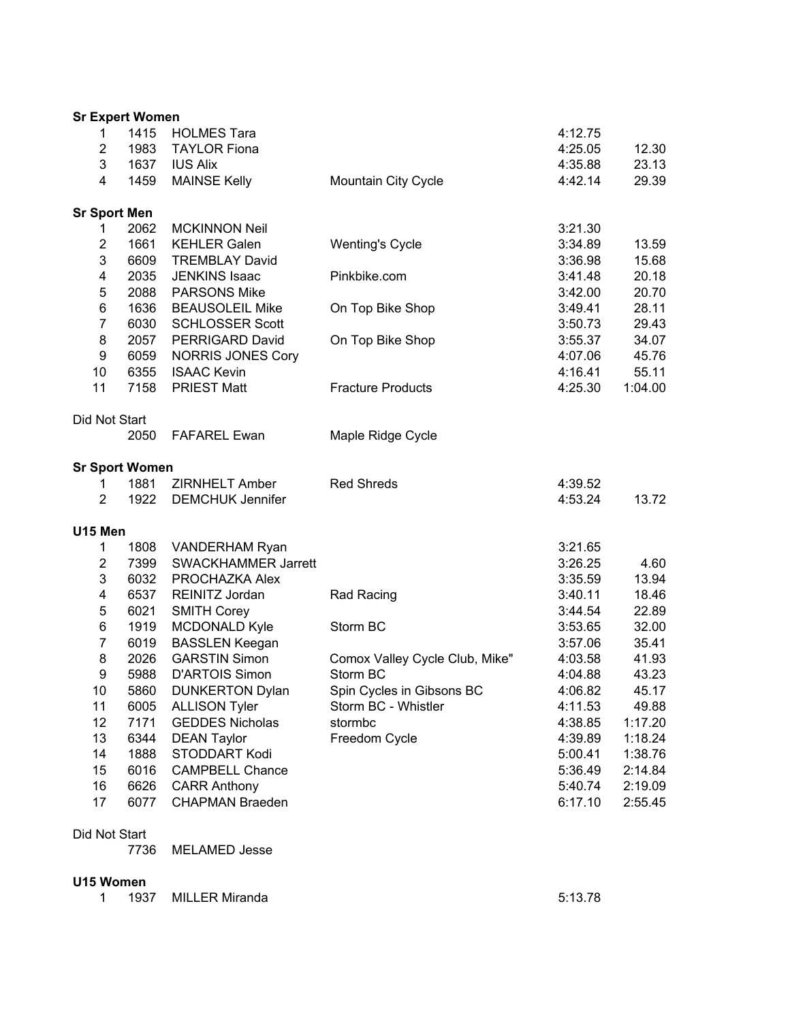| <b>Sr Expert Women</b> |      |                          |                                |         |         |
|------------------------|------|--------------------------|--------------------------------|---------|---------|
| 1                      | 1415 | <b>HOLMES Tara</b>       |                                | 4:12.75 |         |
| $\overline{2}$         | 1983 | <b>TAYLOR Fiona</b>      |                                | 4:25.05 | 12.30   |
| 3                      | 1637 | <b>IUS Alix</b>          |                                | 4:35.88 | 23.13   |
| 4                      | 1459 | <b>MAINSE Kelly</b>      | Mountain City Cycle            | 4:42.14 | 29.39   |
| <b>Sr Sport Men</b>    |      |                          |                                |         |         |
| 1                      | 2062 | <b>MCKINNON Neil</b>     |                                | 3:21.30 |         |
| $\overline{2}$         | 1661 | <b>KEHLER Galen</b>      | <b>Wenting's Cycle</b>         | 3:34.89 | 13.59   |
| 3                      | 6609 | <b>TREMBLAY David</b>    |                                | 3:36.98 | 15.68   |
| 4                      | 2035 | <b>JENKINS Isaac</b>     | Pinkbike.com                   | 3:41.48 | 20.18   |
| 5                      | 2088 | <b>PARSONS Mike</b>      |                                | 3:42.00 | 20.70   |
| 6                      | 1636 | <b>BEAUSOLEIL Mike</b>   | On Top Bike Shop               | 3:49.41 | 28.11   |
| $\overline{7}$         | 6030 | <b>SCHLOSSER Scott</b>   |                                | 3:50.73 | 29.43   |
| 8                      | 2057 | PERRIGARD David          | On Top Bike Shop               | 3:55.37 | 34.07   |
| 9                      | 6059 | <b>NORRIS JONES Cory</b> |                                | 4:07.06 | 45.76   |
| 10                     | 6355 | <b>ISAAC Kevin</b>       |                                | 4:16.41 | 55.11   |
| 11                     | 7158 | <b>PRIEST Matt</b>       | <b>Fracture Products</b>       | 4:25.30 | 1:04.00 |
|                        |      |                          |                                |         |         |
| Did Not Start          |      |                          |                                |         |         |
|                        | 2050 | <b>FAFAREL Ewan</b>      | Maple Ridge Cycle              |         |         |
| <b>Sr Sport Women</b>  |      |                          |                                |         |         |
| 1                      | 1881 | ZIRNHELT Amber           | <b>Red Shreds</b>              | 4:39.52 |         |
| $\overline{2}$         | 1922 | <b>DEMCHUK Jennifer</b>  |                                | 4:53.24 | 13.72   |
| U15 Men                |      |                          |                                |         |         |
| 1                      | 1808 | VANDERHAM Ryan           |                                | 3:21.65 |         |
| $\overline{2}$         | 7399 | SWACKHAMMER Jarrett      |                                | 3:26.25 | 4.60    |
| 3                      | 6032 | PROCHAZKA Alex           |                                | 3:35.59 | 13.94   |
| 4                      | 6537 | REINITZ Jordan           | Rad Racing                     | 3:40.11 | 18.46   |
| 5                      | 6021 | <b>SMITH Corey</b>       |                                | 3:44.54 | 22.89   |
| 6                      | 1919 | MCDONALD Kyle            | Storm BC                       | 3:53.65 | 32.00   |
| $\overline{7}$         | 6019 | <b>BASSLEN Keegan</b>    |                                | 3:57.06 | 35.41   |
| 8                      | 2026 | <b>GARSTIN Simon</b>     | Comox Valley Cycle Club, Mike" | 4:03.58 | 41.93   |
| 9                      | 5988 | <b>D'ARTOIS Simon</b>    | Storm BC                       | 4:04.88 | 43.23   |
| 10                     | 5860 | <b>DUNKERTON Dylan</b>   | Spin Cycles in Gibsons BC      | 4:06.82 | 45.17   |
| 11                     | 6005 | <b>ALLISON Tyler</b>     | Storm BC - Whistler            | 4:11.53 | 49.88   |
| 12                     | 7171 | <b>GEDDES Nicholas</b>   | stormbc                        | 4:38.85 | 1:17.20 |
| 13                     | 6344 | <b>DEAN Taylor</b>       | Freedom Cycle                  | 4:39.89 | 1:18.24 |
| 14                     | 1888 | STODDART Kodi            |                                | 5:00.41 | 1:38.76 |
| 15                     | 6016 | <b>CAMPBELL Chance</b>   |                                | 5:36.49 | 2:14.84 |
| 16                     | 6626 | <b>CARR Anthony</b>      |                                | 5:40.74 | 2:19.09 |
| 17                     | 6077 | <b>CHAPMAN Braeden</b>   |                                | 6:17.10 | 2:55.45 |
| Did Not Start          |      |                          |                                |         |         |
|                        |      |                          |                                |         |         |

7736 MELAMED Jesse

## **U15 Women**

1 1937 MILLER Miranda 5:13.78